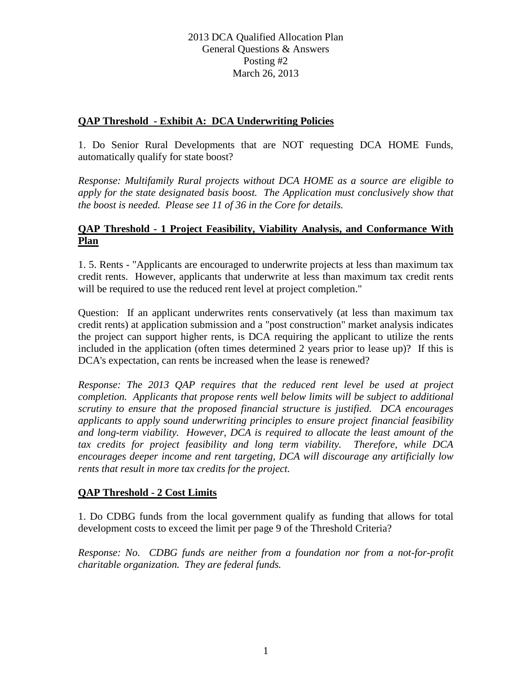# **QAP Threshold - Exhibit A: DCA Underwriting Policies**

1. Do Senior Rural Developments that are NOT requesting DCA HOME Funds, automatically qualify for state boost?

*Response: Multifamily Rural projects without DCA HOME as a source are eligible to apply for the state designated basis boost. The Application must conclusively show that the boost is needed. Please see 11 of 36 in the Core for details.*

# **QAP Threshold - 1 Project Feasibility, Viability Analysis, and Conformance With Plan**

1. 5. Rents - "Applicants are encouraged to underwrite projects at less than maximum tax credit rents. However, applicants that underwrite at less than maximum tax credit rents will be required to use the reduced rent level at project completion."

Question: If an applicant underwrites rents conservatively (at less than maximum tax credit rents) at application submission and a "post construction" market analysis indicates the project can support higher rents, is DCA requiring the applicant to utilize the rents included in the application (often times determined 2 years prior to lease up)? If this is DCA's expectation, can rents be increased when the lease is renewed?

*Response: The 2013 QAP requires that the reduced rent level be used at project completion. Applicants that propose rents well below limits will be subject to additional scrutiny to ensure that the proposed financial structure is justified. DCA encourages applicants to apply sound underwriting principles to ensure project financial feasibility and long-term viability. However, DCA is required to allocate the least amount of the tax credits for project feasibility and long term viability. Therefore, while DCA encourages deeper income and rent targeting, DCA will discourage any artificially low rents that result in more tax credits for the project.* 

# **QAP Threshold - 2 Cost Limits**

1. Do CDBG funds from the local government qualify as funding that allows for total development costs to exceed the limit per page 9 of the Threshold Criteria?

*Response: No. CDBG funds are neither from a foundation nor from a not-for-profit charitable organization. They are federal funds.*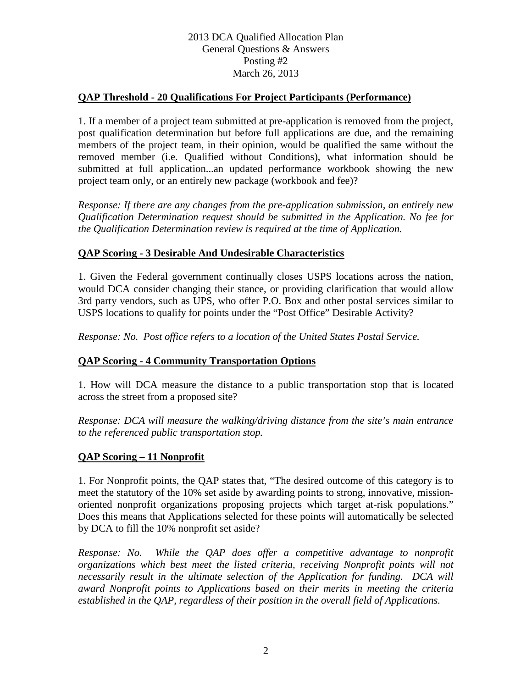# 2013 DCA Qualified Allocation Plan General Questions & Answers Posting #2 March 26, 2013

## **QAP Threshold - 20 Qualifications For Project Participants (Performance)**

1. If a member of a project team submitted at pre-application is removed from the project, post qualification determination but before full applications are due, and the remaining members of the project team, in their opinion, would be qualified the same without the removed member (i.e. Qualified without Conditions), what information should be submitted at full application...an updated performance workbook showing the new project team only, or an entirely new package (workbook and fee)?

*Response: If there are any changes from the pre-application submission, an entirely new Qualification Determination request should be submitted in the Application. No fee for the Qualification Determination review is required at the time of Application.*

### **QAP Scoring - 3 Desirable And Undesirable Characteristics**

1. Given the Federal government continually closes USPS locations across the nation, would DCA consider changing their stance, or providing clarification that would allow 3rd party vendors, such as UPS, who offer P.O. Box and other postal services similar to USPS locations to qualify for points under the "Post Office" Desirable Activity?

*Response: No. Post office refers to a location of the United States Postal Service.*

# **QAP Scoring - 4 Community Transportation Options**

1. How will DCA measure the distance to a public transportation stop that is located across the street from a proposed site?

*Response: DCA will measure the walking/driving distance from the site's main entrance to the referenced public transportation stop.*

#### **QAP Scoring – 11 Nonprofit**

1. For Nonprofit points, the QAP states that, "The desired outcome of this category is to meet the statutory of the 10% set aside by awarding points to strong, innovative, missionoriented nonprofit organizations proposing projects which target at-risk populations." Does this means that Applications selected for these points will automatically be selected by DCA to fill the 10% nonprofit set aside?

*Response: No. While the QAP does offer a competitive advantage to nonprofit organizations which best meet the listed criteria, receiving Nonprofit points will not necessarily result in the ultimate selection of the Application for funding. DCA will award Nonprofit points to Applications based on their merits in meeting the criteria established in the QAP, regardless of their position in the overall field of Applications.*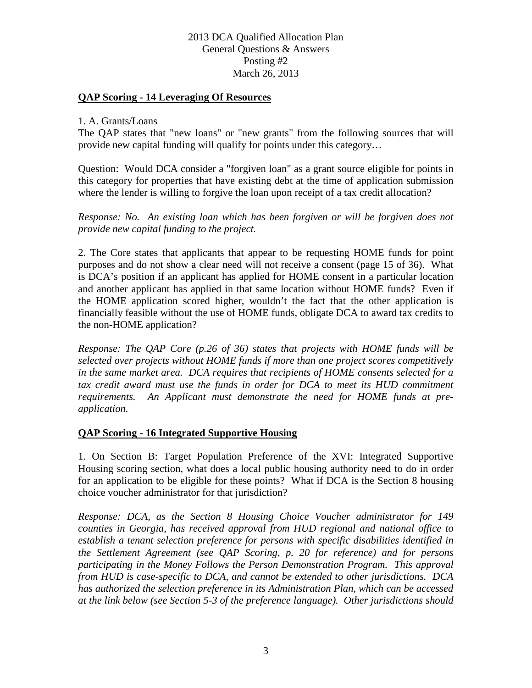## 2013 DCA Qualified Allocation Plan General Questions & Answers Posting #2 March 26, 2013

### **QAP Scoring - 14 Leveraging Of Resources**

#### 1. A. Grants/Loans

The QAP states that "new loans" or "new grants" from the following sources that will provide new capital funding will qualify for points under this category…

Question: Would DCA consider a "forgiven loan" as a grant source eligible for points in this category for properties that have existing debt at the time of application submission where the lender is willing to forgive the loan upon receipt of a tax credit allocation?

*Response: No. An existing loan which has been forgiven or will be forgiven does not provide new capital funding to the project.*

2. The Core states that applicants that appear to be requesting HOME funds for point purposes and do not show a clear need will not receive a consent (page 15 of 36). What is DCA's position if an applicant has applied for HOME consent in a particular location and another applicant has applied in that same location without HOME funds? Even if the HOME application scored higher, wouldn't the fact that the other application is financially feasible without the use of HOME funds, obligate DCA to award tax credits to the non-HOME application?

*Response: The QAP Core (p.26 of 36) states that projects with HOME funds will be selected over projects without HOME funds if more than one project scores competitively in the same market area. DCA requires that recipients of HOME consents selected for a*  tax credit award must use the funds in order for DCA to meet its HUD commitment *requirements. An Applicant must demonstrate the need for HOME funds at preapplication.*

#### **QAP Scoring - 16 Integrated Supportive Housing**

1. On Section B: Target Population Preference of the XVI: Integrated Supportive Housing scoring section, what does a local public housing authority need to do in order for an application to be eligible for these points? What if DCA is the Section 8 housing choice voucher administrator for that jurisdiction?

*Response: DCA, as the Section 8 Housing Choice Voucher administrator for 149 counties in Georgia, has received approval from HUD regional and national office to establish a tenant selection preference for persons with specific disabilities identified in the Settlement Agreement (see QAP Scoring, p. 20 for reference) and for persons participating in the Money Follows the Person Demonstration Program. This approval from HUD is case-specific to DCA, and cannot be extended to other jurisdictions. DCA has authorized the selection preference in its Administration Plan, which can be accessed at the link below (see Section 5-3 of the preference language). Other jurisdictions should*